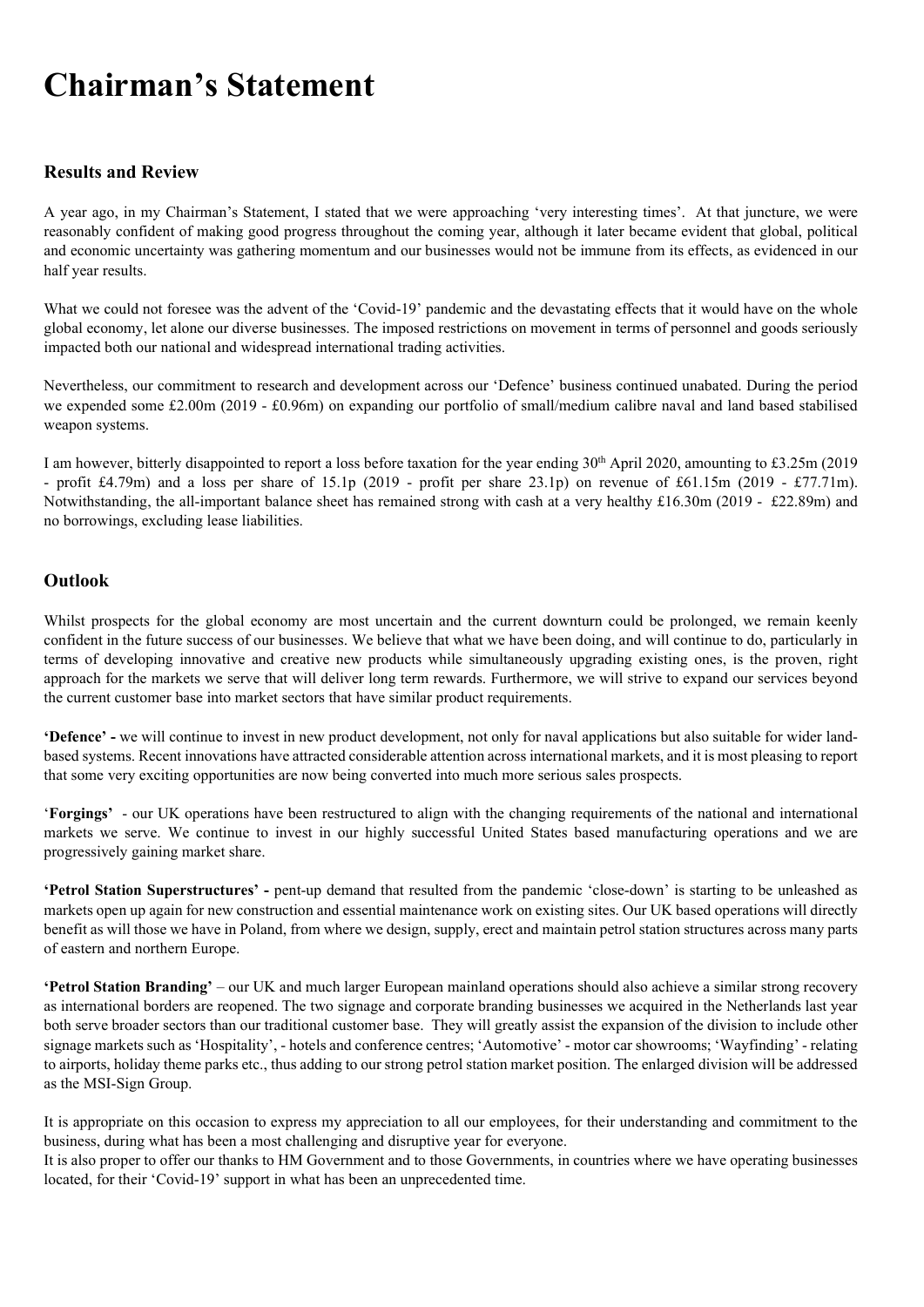# Chairman's Statement

# Results and Review

A year ago, in my Chairman's Statement, I stated that we were approaching 'very interesting times'. At that juncture, we were reasonably confident of making good progress throughout the coming year, although it later became evident that global, political and economic uncertainty was gathering momentum and our businesses would not be immune from its effects, as evidenced in our half year results.

What we could not foresee was the advent of the 'Covid-19' pandemic and the devastating effects that it would have on the whole global economy, let alone our diverse businesses. The imposed restrictions on movement in terms of personnel and goods seriously impacted both our national and widespread international trading activities.

Nevertheless, our commitment to research and development across our 'Defence' business continued unabated. During the period we expended some £2.00m (2019 - £0.96m) on expanding our portfolio of small/medium calibre naval and land based stabilised weapon systems.

I am however, bitterly disappointed to report a loss before taxation for the year ending  $30<sup>th</sup>$  April 2020, amounting to £3.25m (2019) - profit £4.79m) and a loss per share of 15.1p (2019 - profit per share 23.1p) on revenue of £61.15m (2019 - £77.71m). Notwithstanding, the all-important balance sheet has remained strong with cash at a very healthy £16.30m (2019 - £22.89m) and no borrowings, excluding lease liabilities.

# **Outlook**

Whilst prospects for the global economy are most uncertain and the current downturn could be prolonged, we remain keenly confident in the future success of our businesses. We believe that what we have been doing, and will continue to do, particularly in terms of developing innovative and creative new products while simultaneously upgrading existing ones, is the proven, right approach for the markets we serve that will deliver long term rewards. Furthermore, we will strive to expand our services beyond the current customer base into market sectors that have similar product requirements.

'Defence' - we will continue to invest in new product development, not only for naval applications but also suitable for wider landbased systems. Recent innovations have attracted considerable attention across international markets, and it is most pleasing to report that some very exciting opportunities are now being converted into much more serious sales prospects.

'Forgings' - our UK operations have been restructured to align with the changing requirements of the national and international markets we serve. We continue to invest in our highly successful United States based manufacturing operations and we are progressively gaining market share.

'Petrol Station Superstructures' - pent-up demand that resulted from the pandemic 'close-down' is starting to be unleashed as markets open up again for new construction and essential maintenance work on existing sites. Our UK based operations will directly benefit as will those we have in Poland, from where we design, supply, erect and maintain petrol station structures across many parts of eastern and northern Europe.

'Petrol Station Branding' – our UK and much larger European mainland operations should also achieve a similar strong recovery as international borders are reopened. The two signage and corporate branding businesses we acquired in the Netherlands last year both serve broader sectors than our traditional customer base. They will greatly assist the expansion of the division to include other signage markets such as 'Hospitality', - hotels and conference centres; 'Automotive' - motor car showrooms; 'Wayfinding' - relating to airports, holiday theme parks etc., thus adding to our strong petrol station market position. The enlarged division will be addressed as the MSI-Sign Group.

It is appropriate on this occasion to express my appreciation to all our employees, for their understanding and commitment to the business, during what has been a most challenging and disruptive year for everyone.

It is also proper to offer our thanks to HM Government and to those Governments, in countries where we have operating businesses located, for their 'Covid-19' support in what has been an unprecedented time.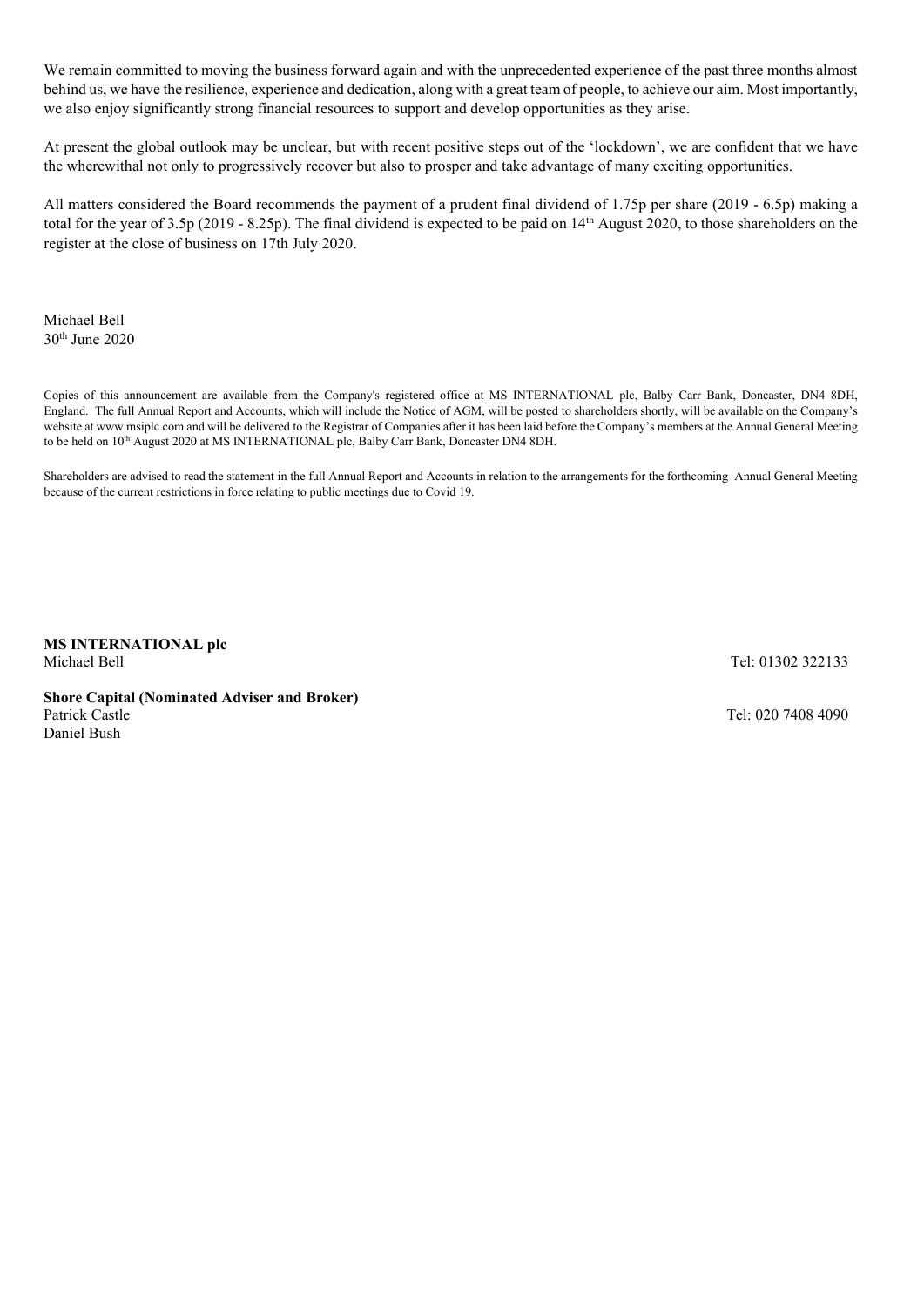We remain committed to moving the business forward again and with the unprecedented experience of the past three months almost behind us, we have the resilience, experience and dedication, along with a great team of people, to achieve our aim. Most importantly, we also enjoy significantly strong financial resources to support and develop opportunities as they arise.

At present the global outlook may be unclear, but with recent positive steps out of the 'lockdown', we are confident that we have the wherewithal not only to progressively recover but also to prosper and take advantage of many exciting opportunities.

All matters considered the Board recommends the payment of a prudent final dividend of 1.75p per share (2019 - 6.5p) making a total for the year of 3.5p (2019 - 8.25p). The final dividend is expected to be paid on 14th August 2020, to those shareholders on the register at the close of business on 17th July 2020.

Michael Bell 30th June 2020

Copies of this announcement are available from the Company's registered office at MS INTERNATIONAL plc, Balby Carr Bank, Doncaster, DN4 8DH, England. The full Annual Report and Accounts, which will include the Notice of AGM, will be posted to shareholders shortly, will be available on the Company's website at www.msiplc.com and will be delivered to the Registrar of Companies after it has been laid before the Company's members at the Annual General Meeting to be held on 10<sup>th</sup> August 2020 at MS INTERNATIONAL plc, Balby Carr Bank, Doncaster DN4 8DH.

Shareholders are advised to read the statement in the full Annual Report and Accounts in relation to the arrangements for the forthcoming Annual General Meeting because of the current restrictions in force relating to public meetings due to Covid 19.

MS INTERNATIONAL plc Michael Bell **Tel: 01302 322133** 

Shore Capital (Nominated Adviser and Broker) Daniel Bush

Tel: 020 7408 4090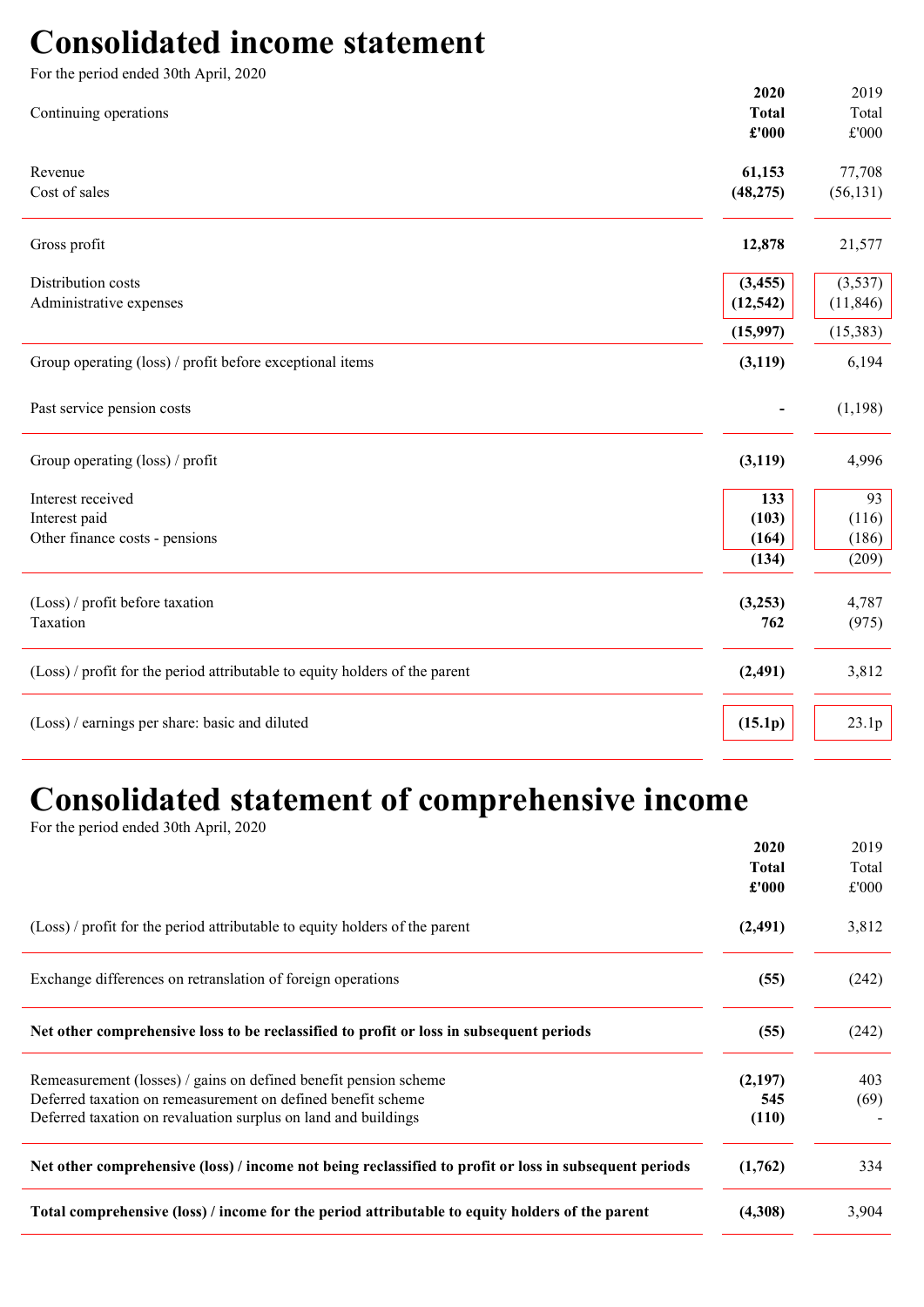# Consolidated income statement

| For the period ended 30th April, 2020                                       |                                        |                                |
|-----------------------------------------------------------------------------|----------------------------------------|--------------------------------|
| Continuing operations                                                       | 2020<br><b>Total</b><br>$\pounds$ '000 | 2019<br>Total<br>$\pounds 000$ |
| Revenue<br>Cost of sales                                                    | 61,153<br>(48, 275)                    | 77,708<br>(56, 131)            |
| Gross profit                                                                | 12,878                                 | 21,577                         |
| Distribution costs<br>Administrative expenses                               | (3, 455)<br>(12, 542)                  | (3,537)<br>(11, 846)           |
|                                                                             | (15,997)                               | (15, 383)                      |
| Group operating (loss) / profit before exceptional items                    | (3, 119)                               | 6,194                          |
| Past service pension costs                                                  |                                        | (1,198)                        |
| Group operating (loss) / profit                                             | (3, 119)                               | 4,996                          |
| Interest received                                                           | 133                                    | 93                             |
| Interest paid                                                               | (103)                                  | (116)                          |
| Other finance costs - pensions                                              | (164)                                  | (186)                          |
|                                                                             | (134)                                  | (209)                          |
| (Loss) / profit before taxation                                             | (3,253)                                | 4,787                          |
| Taxation                                                                    | 762                                    | (975)                          |
| (Loss) / profit for the period attributable to equity holders of the parent | (2, 491)                               | 3,812                          |
| (Loss) / earnings per share: basic and diluted                              | (15.1p)                                | 23.1p                          |

# Consolidated statement of comprehensive income

For the period ended 30th April, 2020

|                                                                                                        | 2020         | 2019  |
|--------------------------------------------------------------------------------------------------------|--------------|-------|
|                                                                                                        | <b>Total</b> | Total |
|                                                                                                        | £'000        | £'000 |
| (Loss) / profit for the period attributable to equity holders of the parent                            | (2, 491)     | 3,812 |
| Exchange differences on retranslation of foreign operations                                            | (55)         | (242) |
| Net other comprehensive loss to be reclassified to profit or loss in subsequent periods                | (55)         | (242) |
| Remeasurement (losses) / gains on defined benefit pension scheme                                       | (2,197)      | 403   |
| Deferred taxation on remeasurement on defined benefit scheme                                           | 545          | (69)  |
| Deferred taxation on revaluation surplus on land and buildings                                         | (110)        |       |
| Net other comprehensive (loss) / income not being reclassified to profit or loss in subsequent periods | (1,762)      | 334   |
| Total comprehensive (loss) / income for the period attributable to equity holders of the parent        | (4,308)      | 3,904 |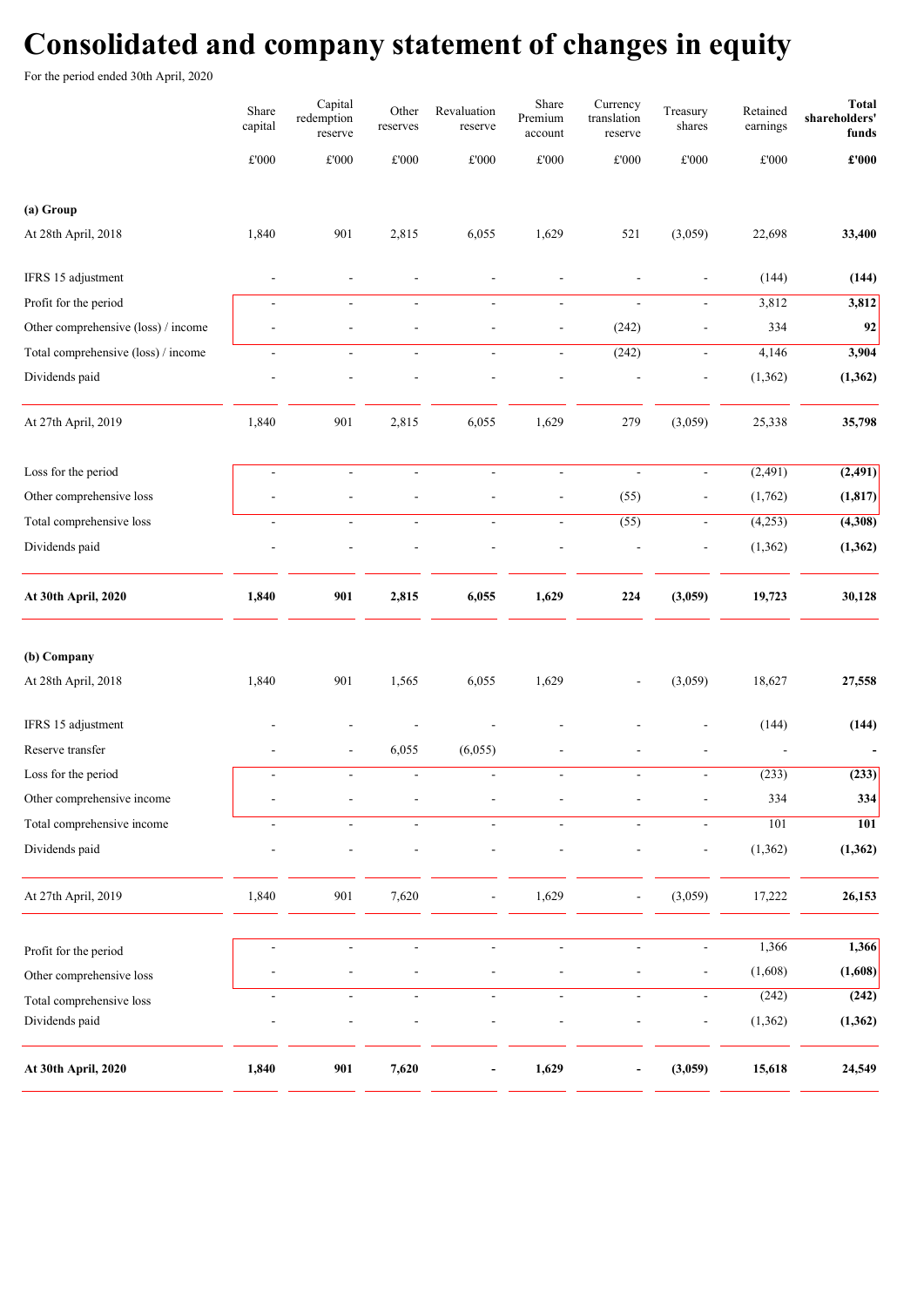# Consolidated and company statement of changes in equity

For the period ended 30th April, 2020

|                                            | Share<br>capital         | Capital<br>redemption<br>reserve | Other<br>reserves        | Revaluation<br>reserve   | Share<br>Premium<br>account | Currency<br>translation<br>reserve | Treasury<br>shares           | Retained<br>earnings | <b>Total</b><br>shareholders'<br>funds |
|--------------------------------------------|--------------------------|----------------------------------|--------------------------|--------------------------|-----------------------------|------------------------------------|------------------------------|----------------------|----------------------------------------|
|                                            | $\pounds 000$            | $\pounds 000$                    | £'000                    | £'000                    | $\pounds 000$               | $\pounds 000$                      | £'000                        | $\pounds 000$        | $\pmb{\pounds}^{\bullet}\mathbf{000}$  |
| (a) Group                                  |                          |                                  |                          |                          |                             |                                    |                              |                      |                                        |
| At 28th April, 2018                        | 1,840                    | 901                              | 2,815                    | 6,055                    | 1,629                       | 521                                | (3,059)                      | 22,698               | 33,400                                 |
| IFRS 15 adjustment                         |                          |                                  |                          |                          |                             |                                    | $\blacksquare$               | (144)                | (144)                                  |
| Profit for the period                      | $\blacksquare$           | $\blacksquare$                   | $\omega$                 | $\omega$                 | $\Box$                      | $\blacksquare$                     | $\omega$                     | 3,812                | 3,812                                  |
| Other comprehensive (loss) / income        | ٠                        | $\overline{a}$                   | ÷,                       | $\overline{a}$           | $\blacksquare$              | (242)                              |                              | 334                  | 92                                     |
| Total comprehensive (loss) / income        | ÷,                       | ÷,                               | ÷,                       | $\overline{a}$           | $\blacksquare$              | (242)                              | $\overline{\phantom{a}}$     | 4,146                | 3,904                                  |
| Dividends paid                             |                          |                                  |                          |                          |                             |                                    | $\overline{a}$               | (1, 362)             | (1, 362)                               |
| At 27th April, 2019                        | 1,840                    | 901                              | 2,815                    | 6,055                    | 1,629                       | 279                                | (3,059)                      | 25,338               | 35,798                                 |
| Loss for the period                        | ÷,                       | $\overline{\phantom{a}}$         | $\blacksquare$           | $\Box$                   | $\blacksquare$              | $\overline{\phantom{a}}$           | $\overline{\phantom{a}}$     | (2,491)              | (2, 491)                               |
| Other comprehensive loss                   |                          |                                  |                          | $\overline{a}$           | $\overline{\phantom{a}}$    | (55)                               | $\overline{\phantom{a}}$     | (1,762)              | (1, 817)                               |
| Total comprehensive loss                   | $\blacksquare$           | $\overline{\phantom{a}}$         | $\blacksquare$           | $\overline{\phantom{a}}$ | $\blacksquare$              | (55)                               | $\blacksquare$               | (4,253)              | (4,308)                                |
| Dividends paid                             |                          |                                  |                          |                          |                             |                                    | $\overline{a}$               | (1, 362)             | (1, 362)                               |
| At 30th April, 2020                        | 1,840                    | 901                              | 2,815                    | 6,055                    | 1,629                       | 224                                | (3,059)                      | 19,723               | 30,128                                 |
| (b) Company                                |                          |                                  |                          |                          |                             |                                    |                              |                      |                                        |
| At 28th April, 2018                        | 1,840                    | 901                              | 1,565                    | 6,055                    | 1,629                       |                                    | (3,059)                      | 18,627               | 27,558                                 |
| IFRS 15 adjustment                         |                          |                                  |                          |                          |                             |                                    |                              | (144)                | (144)                                  |
| Reserve transfer                           |                          | $\overline{a}$                   | 6,055                    | (6,055)                  |                             |                                    |                              |                      |                                        |
| Loss for the period                        | $\overline{\phantom{a}}$ | $\overline{\phantom{a}}$         | $\overline{\phantom{a}}$ | $\overline{\phantom{a}}$ | $\blacksquare$              | $\overline{\phantom{a}}$           | $\overline{\phantom{a}}$     | (233)                | (233)                                  |
| Other comprehensive income                 |                          |                                  |                          |                          |                             |                                    |                              | 334                  | 334                                    |
| Total comprehensive income                 | L.                       | $\blacksquare$                   | $\overline{\phantom{a}}$ | $\mathbf{r}$             | $\sim$                      | $\mathbf{r}$                       | $\mathbf{r}$                 | 101                  | 101                                    |
| Dividends paid                             |                          |                                  |                          |                          |                             |                                    | $\overline{\phantom{m}}$     | (1, 362)             | (1, 362)                               |
| At 27th April, 2019                        | 1,840                    | 901                              | 7,620                    |                          | 1,629                       |                                    | (3,059)                      | 17,222               | 26,153                                 |
| Profit for the period                      |                          | $\blacksquare$                   | $\blacksquare$           | $\overline{\phantom{a}}$ | $\blacksquare$              | $\overline{\phantom{a}}$           | $\overline{\phantom{a}}$     | 1,366                | 1,366                                  |
| Other comprehensive loss                   |                          | $\blacksquare$                   | $\overline{a}$           | $\frac{1}{2}$            | $\overline{a}$              |                                    | $\blacksquare$               | (1,608)              | (1,608)                                |
|                                            | $\blacksquare$           | $\blacksquare$                   | $\blacksquare$           | $\overline{\phantom{a}}$ | $\overline{\phantom{a}}$    | $\blacksquare$                     | $\blacksquare$               | (242)                | (242)                                  |
| Total comprehensive loss<br>Dividends paid |                          |                                  |                          |                          |                             |                                    | $\qquad \qquad \blacksquare$ | (1, 362)             | (1, 362)                               |
| At 30th April, 2020                        | 1,840                    | 901                              | 7,620                    |                          | 1,629                       |                                    | (3,059)                      | 15,618               | 24,549                                 |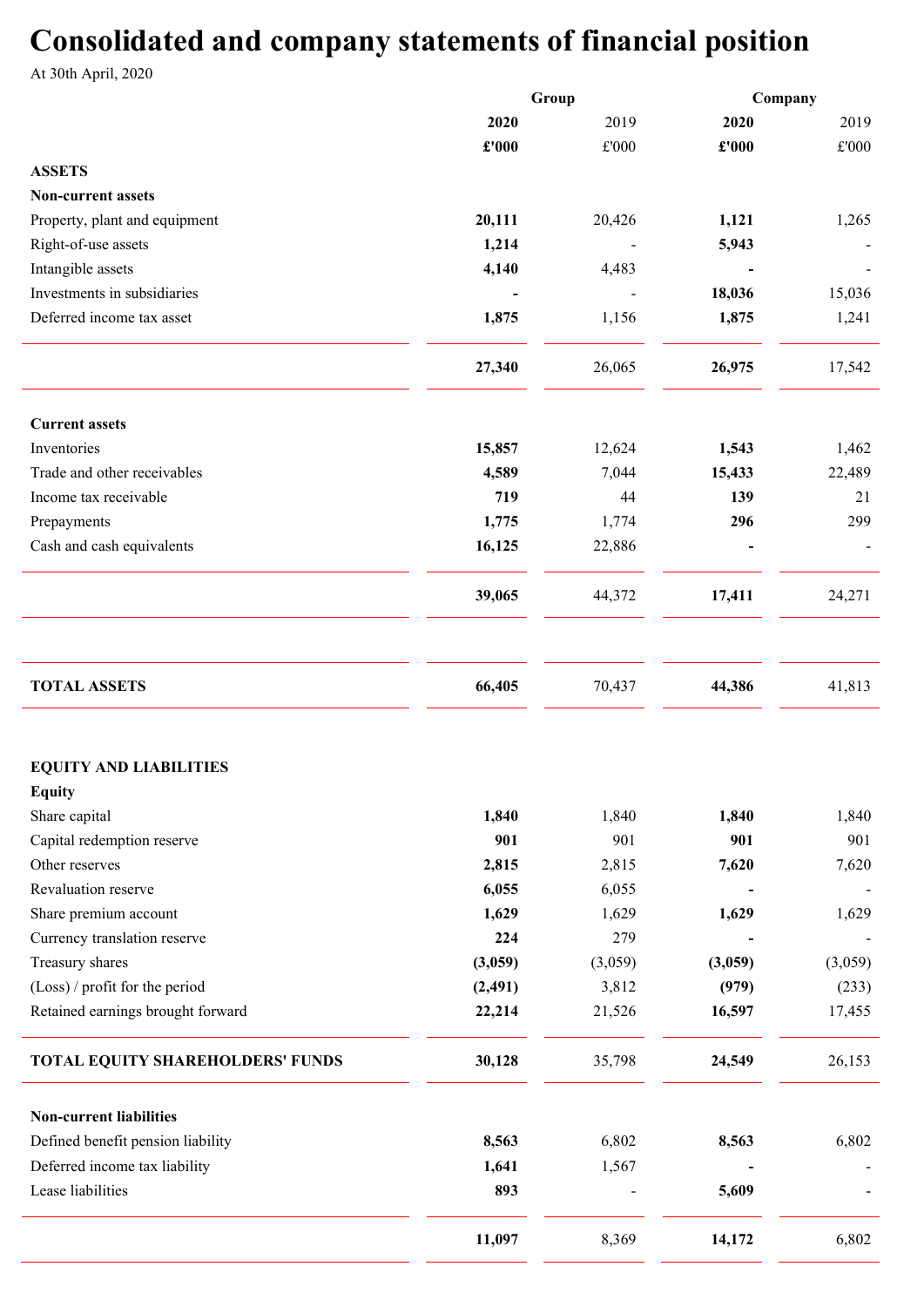# Consolidated and company statements of financial position

At 30th April, 2020

|                                   | Group    |               | Company |               |
|-----------------------------------|----------|---------------|---------|---------------|
|                                   | 2020     | 2019          | 2020    | 2019          |
|                                   | £'000    | $\pounds 000$ | £'000   | $\pounds 000$ |
| <b>ASSETS</b>                     |          |               |         |               |
| <b>Non-current assets</b>         |          |               |         |               |
| Property, plant and equipment     | 20,111   | 20,426        | 1,121   | 1,265         |
| Right-of-use assets               | 1,214    |               | 5,943   |               |
| Intangible assets                 | 4,140    | 4,483         |         |               |
| Investments in subsidiaries       |          |               | 18,036  | 15,036        |
| Deferred income tax asset         | 1,875    | 1,156         | 1,875   | 1,241         |
|                                   |          |               |         |               |
|                                   | 27,340   | 26,065        | 26,975  | 17,542        |
|                                   |          |               |         |               |
| <b>Current assets</b>             |          |               |         |               |
| Inventories                       | 15,857   | 12,624        | 1,543   | 1,462         |
| Trade and other receivables       | 4,589    | 7,044         | 15,433  | 22,489        |
| Income tax receivable             | 719      | 44            | 139     | 21            |
| Prepayments                       | 1,775    | 1,774         | 296     | 299           |
| Cash and cash equivalents         | 16,125   | 22,886        |         |               |
|                                   |          |               |         |               |
|                                   | 39,065   | 44,372        | 17,411  | 24,271        |
|                                   |          |               |         |               |
| <b>TOTAL ASSETS</b>               | 66,405   | 70,437        | 44,386  | 41,813        |
|                                   |          |               |         |               |
| <b>EQUITY AND LIABILITIES</b>     |          |               |         |               |
| <b>Equity</b>                     |          |               |         |               |
| Share capital                     | 1,840    | 1,840         | 1,840   | 1,840         |
| Capital redemption reserve        | 901      | 901           | 901     | 901           |
| Other reserves                    | 2,815    | 2,815         | 7,620   | 7,620         |
| Revaluation reserve               | 6,055    | 6,055         |         |               |
| Share premium account             | 1,629    | 1,629         | 1,629   | 1,629         |
| Currency translation reserve      | 224      | 279           |         |               |
| Treasury shares                   | (3,059)  | (3,059)       | (3,059) | (3,059)       |
| (Loss) / profit for the period    | (2, 491) | 3,812         | (979)   | (233)         |
| Retained earnings brought forward | 22,214   | 21,526        | 16,597  | 17,455        |
| TOTAL EQUITY SHAREHOLDERS' FUNDS  | 30,128   | 35,798        | 24,549  | 26,153        |
| <b>Non-current liabilities</b>    |          |               |         |               |
| Defined benefit pension liability | 8,563    | 6,802         | 8,563   | 6,802         |
| Deferred income tax liability     | 1,641    | 1,567         |         |               |
| Lease liabilities                 | 893      |               | 5,609   |               |
|                                   | 11,097   | 8,369         | 14,172  | 6,802         |
|                                   |          |               |         |               |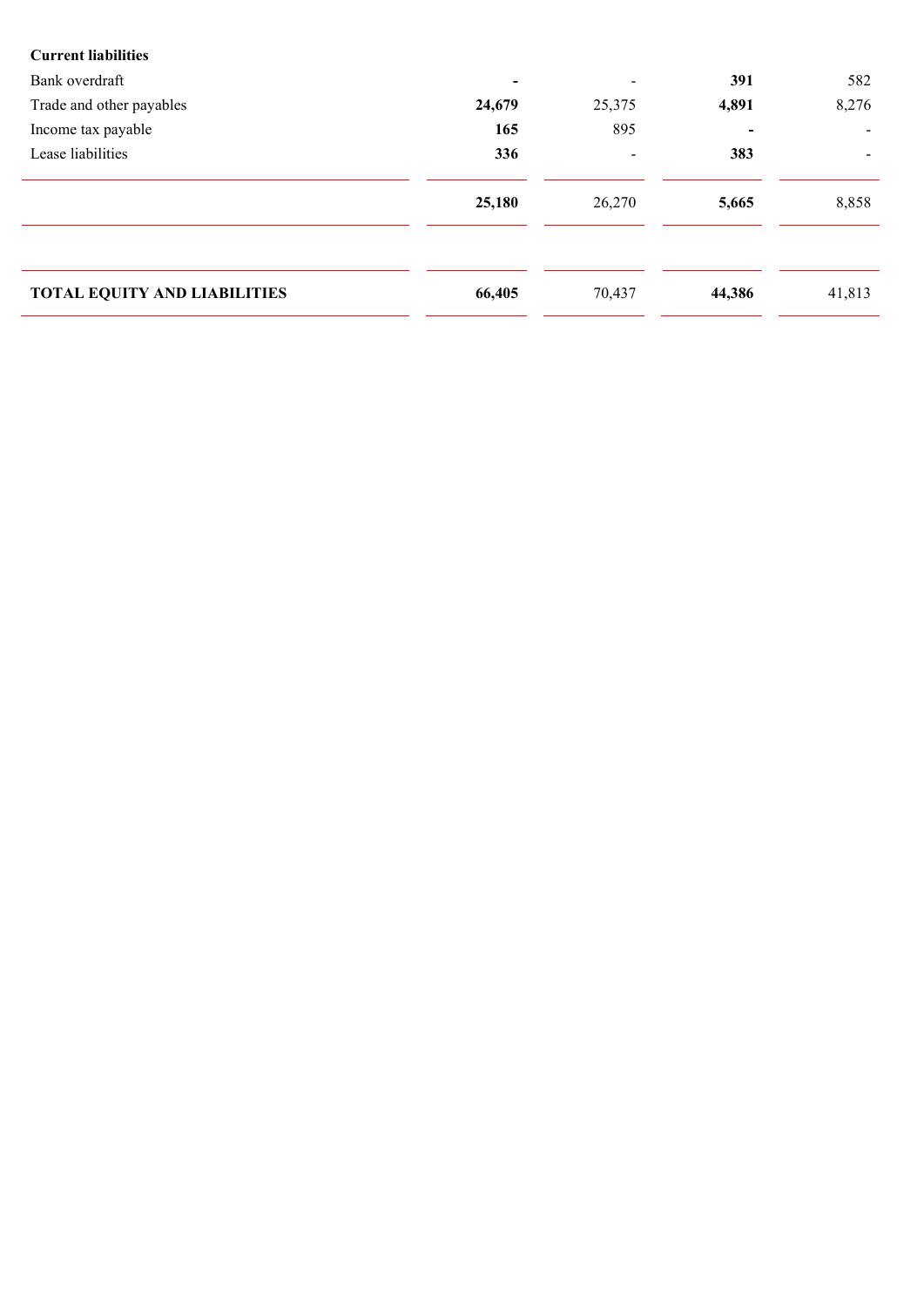| <b>Current liabilities</b>          |                          |                |        |        |
|-------------------------------------|--------------------------|----------------|--------|--------|
| Bank overdraft                      | $\overline{\phantom{a}}$ | $\blacksquare$ | 391    | 582    |
| Trade and other payables            | 24,679                   | 25,375         | 4,891  | 8,276  |
| Income tax payable                  | 165                      | 895            |        |        |
| Lease liabilities                   | 336                      |                | 383    |        |
|                                     |                          |                |        |        |
|                                     | 25,180                   | 26,270         | 5,665  | 8,858  |
|                                     |                          |                |        |        |
|                                     |                          |                |        |        |
| <b>TOTAL EQUITY AND LIABILITIES</b> | 66,405                   | 70,437         | 44,386 | 41,813 |
|                                     |                          |                |        |        |
|                                     |                          |                |        |        |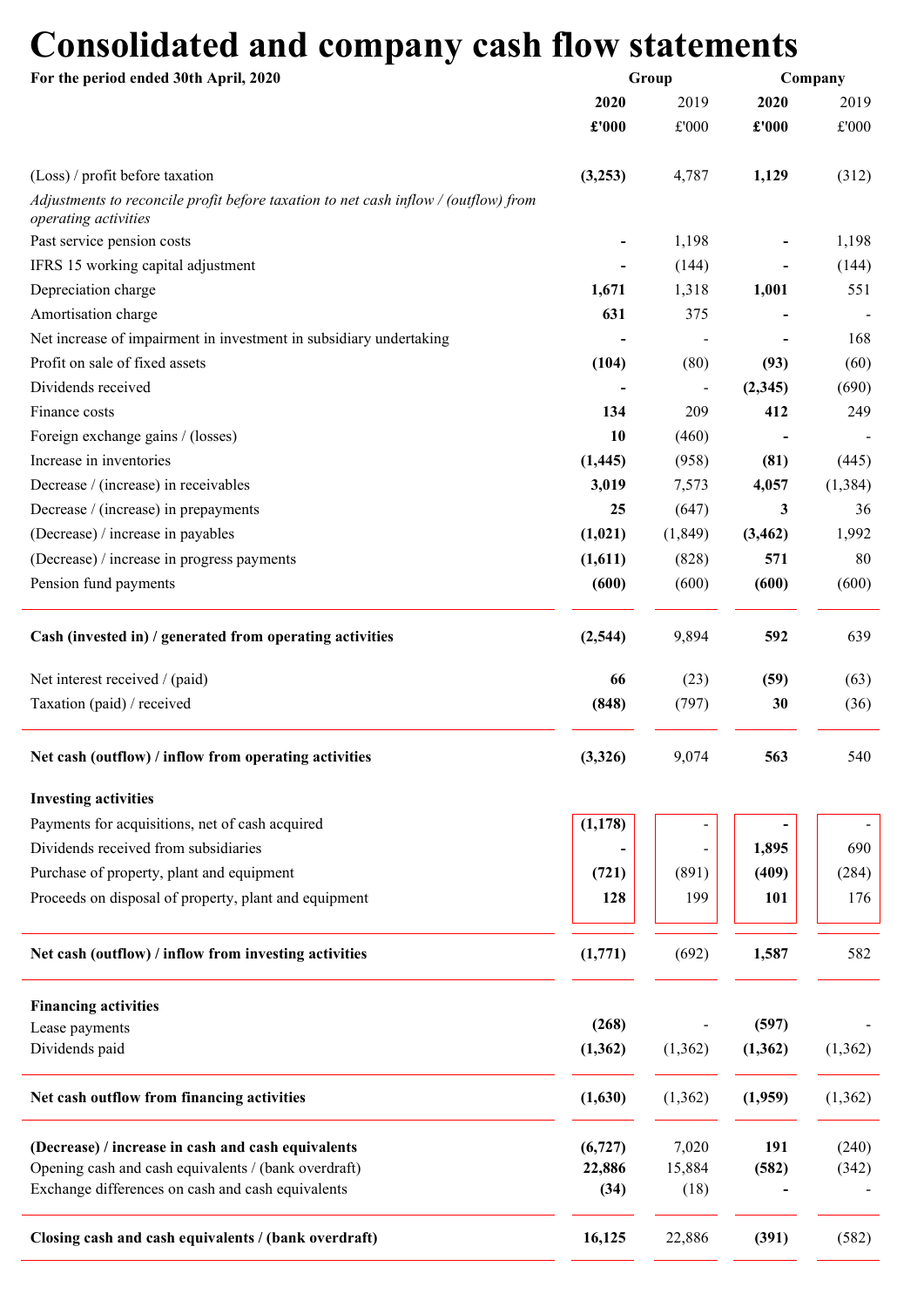# Consolidated and company cash flow statements

| For the period ended 30th April, 2020                                                                       | Group    |          | Company  |          |  |
|-------------------------------------------------------------------------------------------------------------|----------|----------|----------|----------|--|
|                                                                                                             | 2020     | 2019     | 2020     | 2019     |  |
|                                                                                                             | £'000    | £'000    | £'000    | £'000    |  |
| (Loss) / profit before taxation                                                                             | (3,253)  | 4,787    | 1,129    | (312)    |  |
| Adjustments to reconcile profit before taxation to net cash inflow / (outflow) from<br>operating activities |          |          |          |          |  |
| Past service pension costs                                                                                  |          | 1,198    |          | 1,198    |  |
| IFRS 15 working capital adjustment                                                                          |          | (144)    |          | (144)    |  |
| Depreciation charge                                                                                         | 1,671    | 1,318    | 1,001    | 551      |  |
| Amortisation charge                                                                                         | 631      | 375      |          |          |  |
| Net increase of impairment in investment in subsidiary undertaking                                          |          |          |          | 168      |  |
| Profit on sale of fixed assets                                                                              | (104)    | (80)     | (93)     | (60)     |  |
| Dividends received                                                                                          |          |          | (2,345)  | (690)    |  |
| Finance costs                                                                                               | 134      | 209      | 412      | 249      |  |
| Foreign exchange gains / (losses)                                                                           | 10       | (460)    |          |          |  |
| Increase in inventories                                                                                     | (1, 445) | (958)    | (81)     | (445)    |  |
| Decrease / (increase) in receivables                                                                        | 3,019    | 7,573    | 4,057    | (1, 384) |  |
| Decrease / (increase) in prepayments                                                                        | 25       | (647)    | 3        | 36       |  |
| (Decrease) / increase in payables                                                                           | (1,021)  | (1,849)  | (3, 462) | 1,992    |  |
| (Decrease) / increase in progress payments                                                                  | (1,611)  | (828)    | 571      | 80       |  |
| Pension fund payments                                                                                       | (600)    | (600)    | (600)    | (600)    |  |
| Cash (invested in) / generated from operating activities                                                    | (2,544)  | 9,894    | 592      | 639      |  |
|                                                                                                             |          |          |          |          |  |
| Net interest received / (paid)                                                                              | 66       | (23)     | (59)     | (63)     |  |
| Taxation (paid) / received                                                                                  | (848)    | (797)    | 30       | (36)     |  |
| Net cash (outflow) / inflow from operating activities                                                       | (3,326)  | 9,074    | 563      | 540      |  |
| <b>Investing activities</b>                                                                                 |          |          |          |          |  |
| Payments for acquisitions, net of cash acquired                                                             | (1, 178) |          |          |          |  |
| Dividends received from subsidiaries                                                                        |          |          | 1,895    | 690      |  |
| Purchase of property, plant and equipment                                                                   | (721)    | (891)    | (409)    | (284)    |  |
| Proceeds on disposal of property, plant and equipment                                                       | 128      | 199      | 101      | 176      |  |
| Net cash (outflow) / inflow from investing activities                                                       | (1,771)  | (692)    | 1,587    | 582      |  |
| <b>Financing activities</b>                                                                                 |          |          |          |          |  |
| Lease payments                                                                                              | (268)    |          | (597)    |          |  |
| Dividends paid                                                                                              | (1, 362) | (1, 362) | (1, 362) | (1,362)  |  |
| Net cash outflow from financing activities                                                                  | (1,630)  | (1, 362) | (1,959)  | (1, 362) |  |
| (Decrease) / increase in cash and cash equivalents                                                          | (6, 727) | 7,020    | 191      | (240)    |  |
| Opening cash and cash equivalents / (bank overdraft)                                                        | 22,886   | 15,884   | (582)    | (342)    |  |
| Exchange differences on cash and cash equivalents                                                           | (34)     | (18)     |          |          |  |
| Closing cash and cash equivalents / (bank overdraft)                                                        | 16,125   | 22,886   | (391)    | (582)    |  |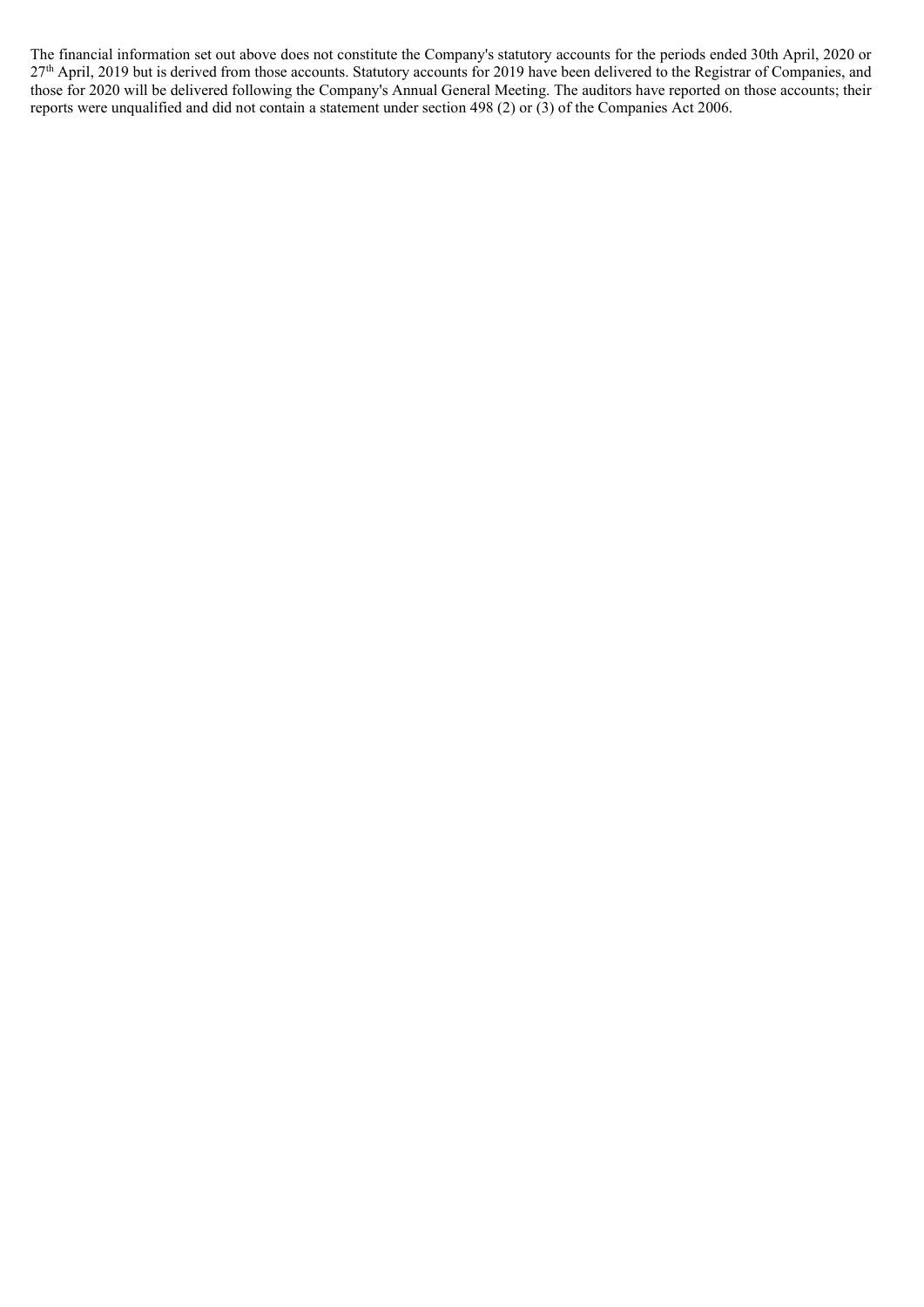The financial information set out above does not constitute the Company's statutory accounts for the periods ended 30th April, 2020 or 27<sup>th</sup> April, 2019 but is derived from those accounts. Statutory accounts for 2019 have been delivered to the Registrar of Companies, and those for 2020 will be delivered following the Company's Annual General Meeting. The auditors have reported on those accounts; their reports were unqualified and did not contain a statement under section 498 (2) or (3) of the Companies Act 2006.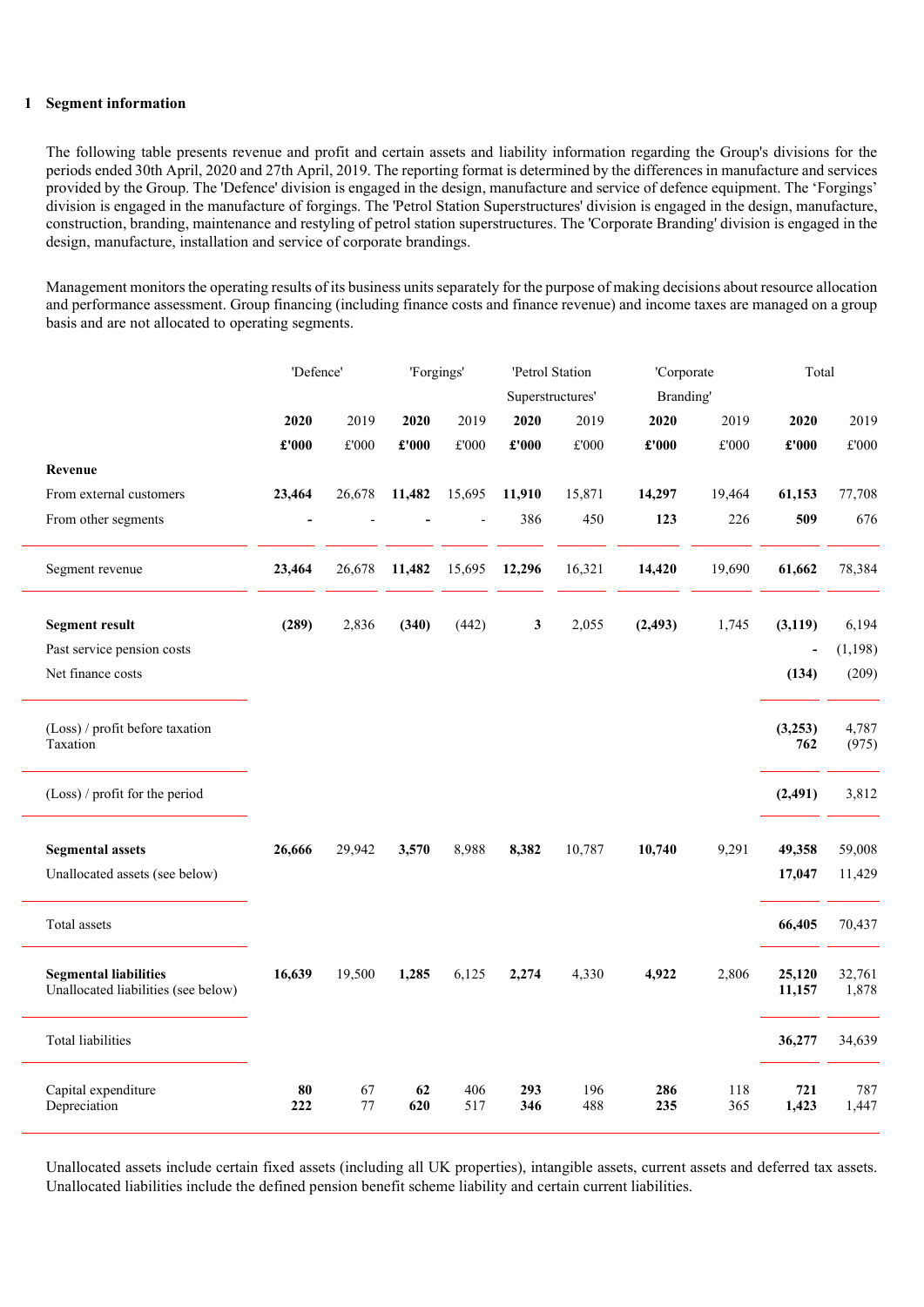### 1 Segment information

The following table presents revenue and profit and certain assets and liability information regarding the Group's divisions for the periods ended 30th April, 2020 and 27th April, 2019. The reporting format is determined by the differences in manufacture and services provided by the Group. The 'Defence' division is engaged in the design, manufacture and service of defence equipment. The 'Forgings' division is engaged in the manufacture of forgings. The 'Petrol Station Superstructures' division is engaged in the design, manufacture, construction, branding, maintenance and restyling of petrol station superstructures. The 'Corporate Branding' division is engaged in the design, manufacture, installation and service of corporate brandings.

Management monitors the operating results of its business units separately for the purpose of making decisions about resource allocation and performance assessment. Group financing (including finance costs and finance revenue) and income taxes are managed on a group basis and are not allocated to operating segments.

|                                                                     | 'Defence'                             |               | 'Forgings' |               | 'Petrol Station               |               | 'Corporate     |               | Total                                 |                 |
|---------------------------------------------------------------------|---------------------------------------|---------------|------------|---------------|-------------------------------|---------------|----------------|---------------|---------------------------------------|-----------------|
|                                                                     |                                       |               |            |               | Superstructures'              |               | Branding'      |               |                                       |                 |
|                                                                     | 2020                                  | 2019          | 2020       | 2019          | 2020                          | 2019          | 2020           | 2019          | 2020                                  | 2019            |
|                                                                     | $\pmb{\pounds}^{\bullet}\mathbf{000}$ | $\pounds 000$ | £'000      | $\pounds 000$ | $\pmb{\pounds}^{\text{r}}000$ | $\pounds 000$ | $\pounds$ '000 | $\pounds 000$ | $\pmb{\pounds}^{\bullet}\mathbf{000}$ | $\pounds 000$   |
| Revenue                                                             |                                       |               |            |               |                               |               |                |               |                                       |                 |
| From external customers                                             | 23,464                                | 26,678        | 11,482     | 15,695        | 11,910                        | 15,871        | 14,297         | 19,464        | 61,153                                | 77,708          |
| From other segments                                                 |                                       |               |            |               | 386                           | 450           | 123            | 226           | 509                                   | 676             |
| Segment revenue                                                     | 23,464                                | 26,678        | 11,482     | 15,695        | 12,296                        | 16,321        | 14,420         | 19,690        | 61,662                                | 78,384          |
| <b>Segment result</b>                                               | (289)                                 | 2,836         | (340)      | (442)         | 3                             | 2,055         | (2, 493)       | 1,745         | (3, 119)                              | 6,194           |
| Past service pension costs                                          |                                       |               |            |               |                               |               |                |               | $\overline{a}$                        | (1, 198)        |
| Net finance costs                                                   |                                       |               |            |               |                               |               |                |               | (134)                                 | (209)           |
| (Loss) / profit before taxation<br>Taxation                         |                                       |               |            |               |                               |               |                |               | (3,253)<br>762                        | 4,787<br>(975)  |
| (Loss) / profit for the period                                      |                                       |               |            |               |                               |               |                |               | (2, 491)                              | 3,812           |
| <b>Segmental assets</b>                                             | 26,666                                | 29,942        | 3,570      | 8,988         | 8,382                         | 10,787        | 10,740         | 9,291         | 49,358                                | 59,008          |
| Unallocated assets (see below)                                      |                                       |               |            |               |                               |               |                |               | 17,047                                | 11,429          |
| Total assets                                                        |                                       |               |            |               |                               |               |                |               | 66,405                                | 70,437          |
| <b>Segmental liabilities</b><br>Unallocated liabilities (see below) | 16,639                                | 19,500        | 1,285      | 6,125         | 2,274                         | 4,330         | 4,922          | 2,806         | 25,120<br>11,157                      | 32,761<br>1,878 |
| <b>Total liabilities</b>                                            |                                       |               |            |               |                               |               |                |               | 36,277                                | 34,639          |
| Capital expenditure<br>Depreciation                                 | 80<br>222                             | 67<br>77      | 62<br>620  | 406<br>517    | 293<br>346                    | 196<br>488    | 286<br>235     | 118<br>365    | 721<br>1,423                          | 787<br>1,447    |

Unallocated assets include certain fixed assets (including all UK properties), intangible assets, current assets and deferred tax assets. Unallocated liabilities include the defined pension benefit scheme liability and certain current liabilities.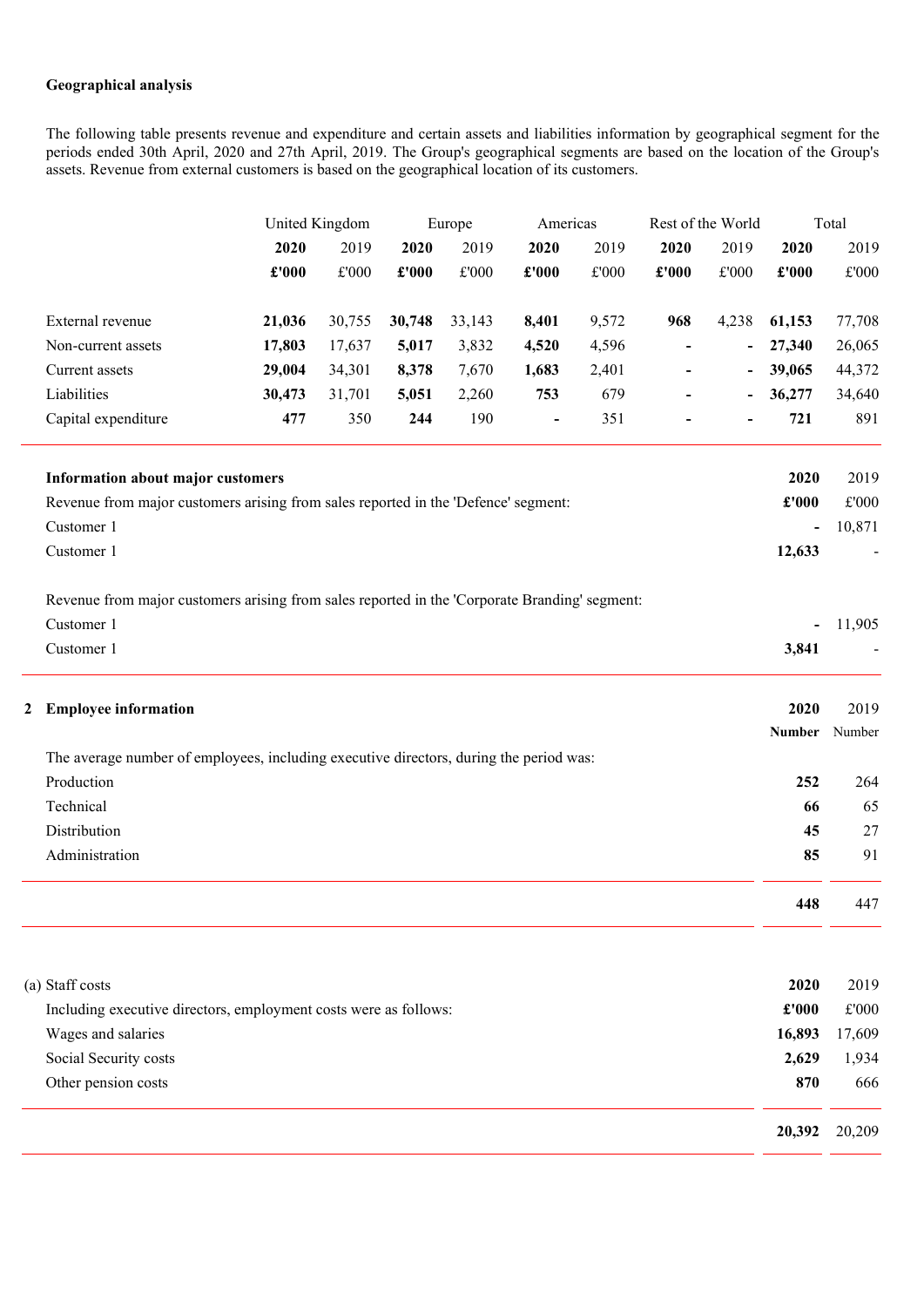## Geographical analysis

The following table presents revenue and expenditure and certain assets and liabilities information by geographical segment for the periods ended 30th April, 2020 and 27th April, 2019. The Group's geographical segments are based on the location of the Group's assets. Revenue from external customers is based on the geographical location of its customers.

|   |                                                                                               |               | United Kingdom        |               | Europe                | Americas                     |                       | Rest of the World        |                          | Total                    |                       |
|---|-----------------------------------------------------------------------------------------------|---------------|-----------------------|---------------|-----------------------|------------------------------|-----------------------|--------------------------|--------------------------|--------------------------|-----------------------|
|   |                                                                                               | 2020<br>£'000 | 2019<br>$\pounds 000$ | 2020<br>£'000 | 2019<br>$\pounds 000$ | 2020<br>£'000                | 2019<br>$\pounds 000$ | 2020<br>£'000            | 2019<br>$\pounds 000$    | 2020<br>£'000            | 2019<br>$\pounds 000$ |
|   | External revenue                                                                              | 21,036        | 30,755                | 30,748        | 33,143                | 8,401                        | 9,572                 | 968                      | 4,238                    | 61,153                   | 77,708                |
|   | Non-current assets                                                                            | 17,803        | 17,637                | 5,017         | 3,832                 | 4,520                        | 4,596                 | $\overline{\phantom{a}}$ | $\overline{\phantom{a}}$ | 27,340                   | 26,065                |
|   | Current assets                                                                                | 29,004        | 34,301                | 8,378         | 7,670                 | 1,683                        | 2,401                 |                          |                          | 39,065                   | 44,372                |
|   | Liabilities                                                                                   | 30,473        | 31,701                | 5,051         | 2,260                 | 753                          | 679                   |                          | $\overline{\phantom{a}}$ | 36,277                   | 34,640                |
|   | Capital expenditure                                                                           | 477           | 350                   | 244           | 190                   | $\qquad \qquad \blacksquare$ | 351                   |                          |                          | 721                      | 891                   |
|   | Information about major customers                                                             |               |                       |               |                       |                              |                       |                          |                          | 2020                     | 2019                  |
|   | Revenue from major customers arising from sales reported in the 'Defence' segment:            |               |                       |               |                       |                              |                       |                          |                          | $\pounds 000$            | $\pounds 000$         |
|   | Customer 1                                                                                    |               |                       |               |                       |                              |                       |                          |                          | $\overline{\phantom{0}}$ | 10,871                |
|   | Customer 1                                                                                    |               |                       |               |                       |                              |                       |                          |                          | 12,633                   |                       |
|   | Revenue from major customers arising from sales reported in the 'Corporate Branding' segment: |               |                       |               |                       |                              |                       |                          |                          |                          |                       |
|   | Customer 1                                                                                    |               |                       |               |                       |                              |                       |                          |                          |                          | 11,905                |
|   | Customer 1                                                                                    |               |                       |               |                       |                              |                       |                          |                          | 3,841                    |                       |
| 2 | <b>Employee information</b>                                                                   |               |                       |               |                       |                              |                       |                          |                          | 2020                     | 2019                  |
|   |                                                                                               |               |                       |               |                       |                              |                       |                          |                          | <b>Number</b>            | Number                |
|   | The average number of employees, including executive directors, during the period was:        |               |                       |               |                       |                              |                       |                          |                          |                          |                       |
|   | Production                                                                                    |               |                       |               |                       |                              |                       |                          |                          | 252                      | 264                   |
|   | Technical                                                                                     |               |                       |               |                       |                              |                       |                          |                          | 66                       | 65                    |
|   | Distribution                                                                                  |               |                       |               |                       |                              |                       |                          |                          | 45                       | $27\,$                |
|   | Administration                                                                                |               |                       |               |                       |                              |                       |                          |                          | 85                       | 91                    |
|   |                                                                                               |               |                       |               |                       |                              |                       |                          |                          | 448                      | 447                   |
|   |                                                                                               |               |                       |               |                       |                              |                       |                          |                          |                          |                       |
|   | (a) Staff costs                                                                               |               |                       |               |                       |                              |                       |                          |                          | 2020                     | 2019                  |
|   | Including executive directors, employment costs were as follows:                              |               |                       |               |                       |                              |                       |                          |                          | £'000                    | $\pounds 000$         |
|   | Wages and salaries                                                                            |               |                       |               |                       |                              |                       |                          |                          | 16,893                   | 17,609                |
|   | Social Security costs                                                                         |               |                       |               |                       |                              |                       |                          |                          | 2,629                    | 1,934                 |
|   | Other pension costs                                                                           |               |                       |               |                       |                              |                       |                          |                          | 870                      | 666                   |
|   |                                                                                               |               |                       |               |                       |                              |                       |                          |                          | 20,392                   | 20,209                |
|   |                                                                                               |               |                       |               |                       |                              |                       |                          |                          |                          |                       |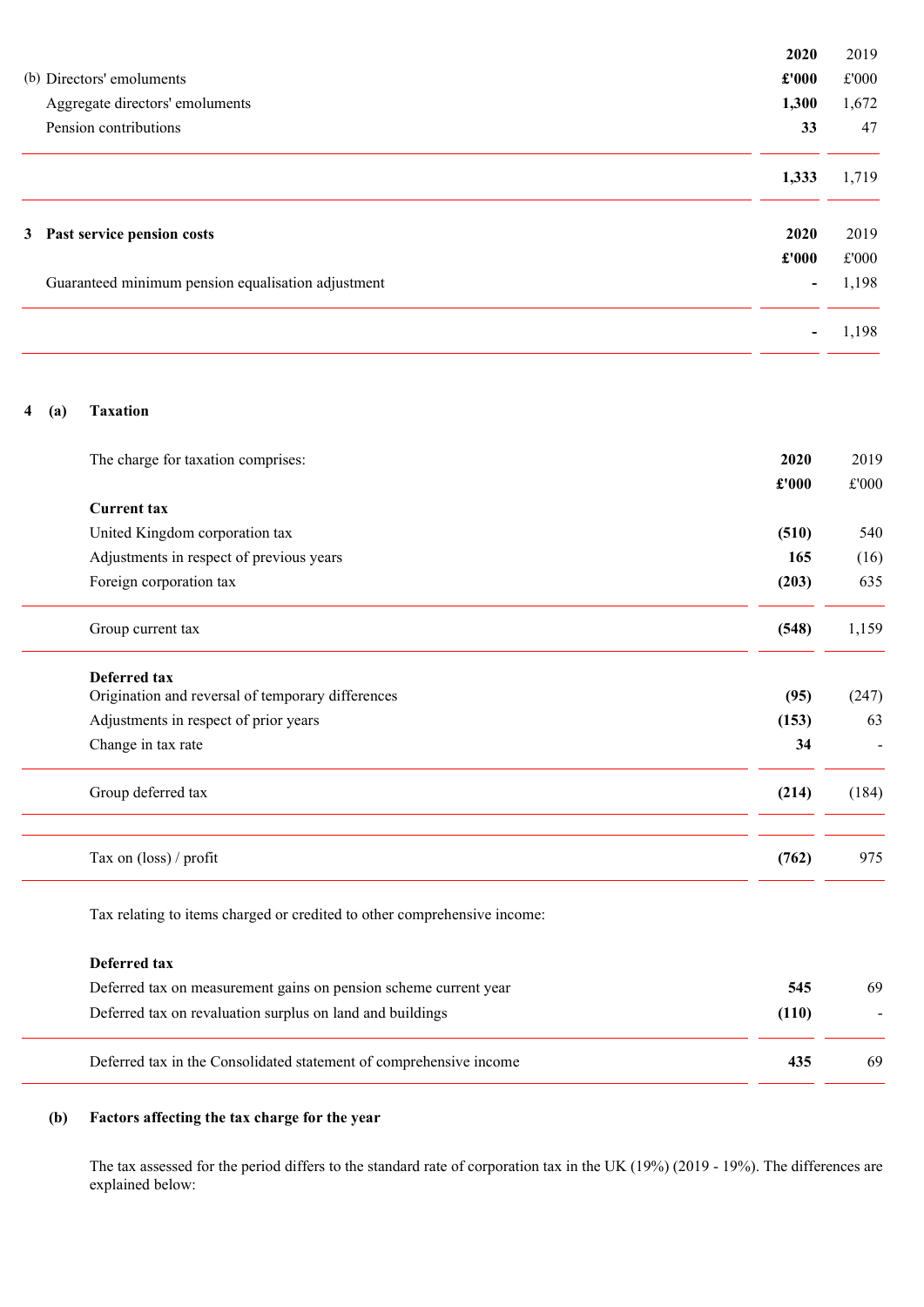|                                                    | 2020                     | 2019  |
|----------------------------------------------------|--------------------------|-------|
| (b) Directors' emoluments                          | £'000                    | £'000 |
| Aggregate directors' emoluments                    | 1,300                    | 1,672 |
| Pension contributions                              | 33                       | 47    |
|                                                    | 1,333                    | 1,719 |
| 3 Past service pension costs                       | 2020                     | 2019  |
|                                                    | $\pounds 000$            | £'000 |
| Guaranteed minimum pension equalisation adjustment | $\overline{\phantom{0}}$ | 1,198 |
|                                                    |                          | 1,198 |

# 4 (a) Taxation

| The charge for taxation comprises:                                       | 2020  | 2019  |
|--------------------------------------------------------------------------|-------|-------|
|                                                                          | £'000 | £'000 |
| <b>Current tax</b>                                                       |       |       |
| United Kingdom corporation tax                                           | (510) | 540   |
| Adjustments in respect of previous years                                 | 165   | (16)  |
| Foreign corporation tax                                                  | (203) | 635   |
| Group current tax                                                        | (548) | 1,159 |
| Deferred tax<br>Origination and reversal of temporary differences        | (95)  | (247) |
| Adjustments in respect of prior years                                    | (153) | 63    |
| Change in tax rate                                                       | 34    |       |
| Group deferred tax                                                       | (214) | (184) |
| Tax on (loss) / profit                                                   | (762) | 975   |
| Tax relating to items charged or credited to other comprehensive income: |       |       |
| <b>Deferred tax</b>                                                      |       |       |
| Deferred tax on measurement gains on pension scheme current year         | 545   | 69    |
| Deferred tax on revaluation surplus on land and buildings                | (110) |       |
| Deferred tax in the Consolidated statement of comprehensive income       | 435   | 69    |
|                                                                          |       |       |

# (b) Factors affecting the tax charge for the year

The tax assessed for the period differs to the standard rate of corporation tax in the UK (19%) (2019 - 19%). The differences are explained below: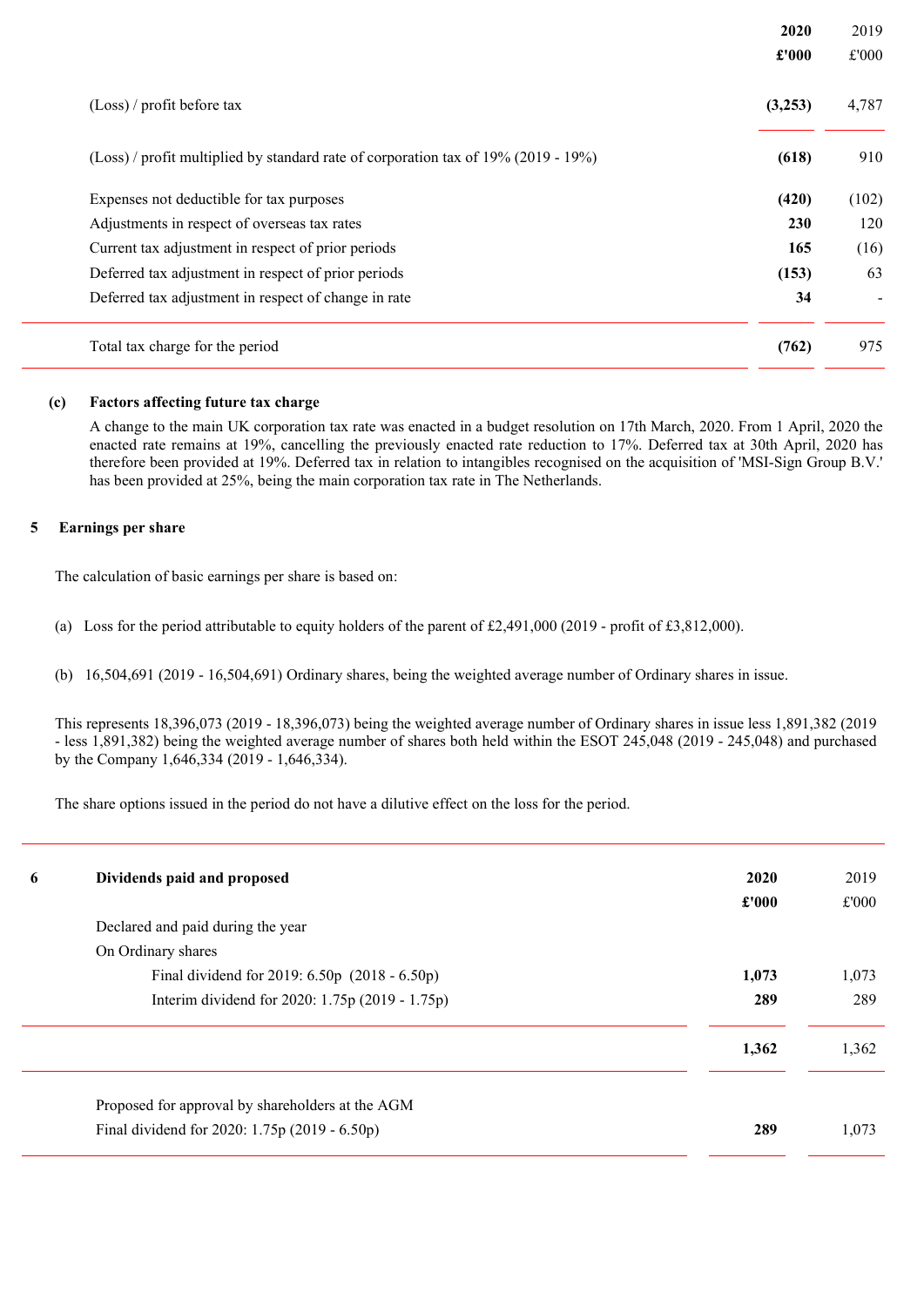|                                                                                      | 2020<br>£'000 | 2019<br>£'000 |
|--------------------------------------------------------------------------------------|---------------|---------------|
| (Loss) / profit before tax                                                           | (3,253)       | 4,787         |
| $(Loss)$ / profit multiplied by standard rate of corporation tax of 19% (2019 - 19%) | (618)         | 910           |
| Expenses not deductible for tax purposes                                             | (420)         | (102)         |
| Adjustments in respect of overseas tax rates                                         | 230           | 120           |
| Current tax adjustment in respect of prior periods                                   | 165           | (16)          |
| Deferred tax adjustment in respect of prior periods                                  | (153)         | 63            |
| Deferred tax adjustment in respect of change in rate                                 | 34            |               |
| Total tax charge for the period                                                      | (762)         | 975           |

## (c) Factors affecting future tax charge

A change to the main UK corporation tax rate was enacted in a budget resolution on 17th March, 2020. From 1 April, 2020 the enacted rate remains at 19%, cancelling the previously enacted rate reduction to 17%. Deferred tax at 30th April, 2020 has therefore been provided at 19%. Deferred tax in relation to intangibles recognised on the acquisition of 'MSI-Sign Group B.V.' has been provided at 25%, being the main corporation tax rate in The Netherlands.

## 5 Earnings per share

The calculation of basic earnings per share is based on:

- (a) Loss for the period attributable to equity holders of the parent of £2,491,000 (2019 profit of £3,812,000).
- (b) 16,504,691 (2019 16,504,691) Ordinary shares, being the weighted average number of Ordinary shares in issue.

This represents 18,396,073 (2019 - 18,396,073) being the weighted average number of Ordinary shares in issue less 1,891,382 (2019 - less 1,891,382) being the weighted average number of shares both held within the ESOT 245,048 (2019 - 245,048) and purchased by the Company 1,646,334 (2019 - 1,646,334).

The share options issued in the period do not have a dilutive effect on the loss for the period.

| 6 | Dividends paid and proposed                                                                       | 2020<br>£'000 | 2019<br>£'000 |
|---|---------------------------------------------------------------------------------------------------|---------------|---------------|
|   | Declared and paid during the year                                                                 |               |               |
|   | On Ordinary shares                                                                                |               |               |
|   | Final dividend for 2019: 6.50p (2018 - 6.50p)                                                     | 1,073         | 1,073         |
|   | Interim dividend for 2020: 1.75p (2019 - 1.75p)                                                   | 289           | 289           |
|   |                                                                                                   | 1,362         | 1,362         |
|   | Proposed for approval by shareholders at the AGM<br>Final dividend for 2020: 1.75p (2019 - 6.50p) | 289           | 1,073         |
|   |                                                                                                   |               |               |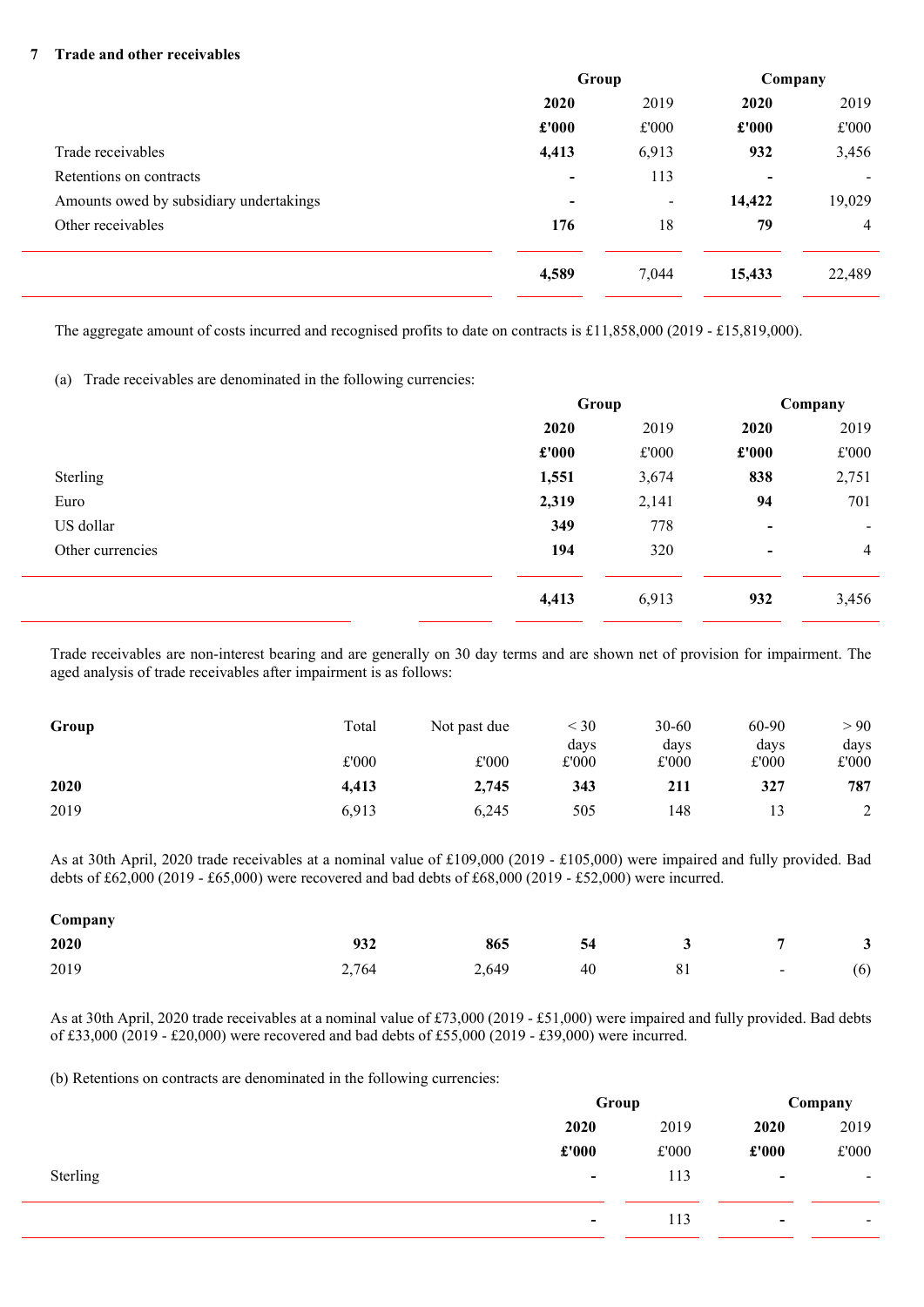### 7 Trade and other receivables

|                                         | Group                    |                | Company                  |                |
|-----------------------------------------|--------------------------|----------------|--------------------------|----------------|
|                                         | 2020                     | 2019           | 2020                     | 2019           |
|                                         | £'000                    | £'000          | £'000                    | £'000          |
| Trade receivables                       | 4,413                    | 6,913          | 932                      | 3,456          |
| Retentions on contracts                 | $\blacksquare$           | 113            | $\overline{\phantom{0}}$ | $\blacksquare$ |
| Amounts owed by subsidiary undertakings | $\overline{\phantom{0}}$ | $\blacksquare$ | 14,422                   | 19,029         |
| Other receivables                       | 176                      | 18             | 79                       | $\overline{4}$ |
|                                         | 4,589                    | 7,044          | 15,433                   | 22,489         |

The aggregate amount of costs incurred and recognised profits to date on contracts is £11,858,000 (2019 - £15,819,000).

(a) Trade receivables are denominated in the following currencies:

|                  | Group |               | Company        |                |
|------------------|-------|---------------|----------------|----------------|
|                  | 2020  | 2019          | 2020           | 2019           |
|                  | £'000 | $\pounds 000$ | £'000          | £'000          |
| Sterling         | 1,551 | 3,674         | 838            | 2,751          |
| Euro             | 2,319 | 2,141         | 94             | 701            |
| US dollar        | 349   | 778           | $\blacksquare$ | ۰              |
| Other currencies | 194   | 320           | $\blacksquare$ | $\overline{4}$ |
|                  | 4,413 | 6,913         | 932            | 3,456          |

Trade receivables are non-interest bearing and are generally on 30 day terms and are shown net of provision for impairment. The aged analysis of trade receivables after impairment is as follows:

| Group | Total | Not past due | $<$ 30 | $30 - 60$ | 60-90 | > 90   |
|-------|-------|--------------|--------|-----------|-------|--------|
|       |       |              | days   | days      | days  | days   |
|       | £'000 | £'000        | £'000  | £'000     | £'000 | £'000  |
| 2020  | 4.413 | 2,745        | 343    | 211       | 327   | 787    |
| 2019  | 6.913 | 6,245        | 505    | 148       |       | $\sim$ |

As at 30th April, 2020 trade receivables at a nominal value of £109,000 (2019 - £105,000) were impaired and fully provided. Bad debts of £62,000 (2019 - £65,000) were recovered and bad debts of £68,000 (2019 - £52,000) were incurred.

| Company |       |       |    |    |        |     |
|---------|-------|-------|----|----|--------|-----|
| 2020    | 932   | 865   | 54 |    |        | 3   |
| 2019    | 2,764 | 2,649 | 40 | 81 | $\sim$ | (6) |

As at 30th April, 2020 trade receivables at a nominal value of £73,000 (2019 - £51,000) were impaired and fully provided. Bad debts of £33,000 (2019 - £20,000) were recovered and bad debts of £55,000 (2019 - £39,000) were incurred.

(b) Retentions on contracts are denominated in the following currencies:

|          | Group                    |       | Company                  |                          |
|----------|--------------------------|-------|--------------------------|--------------------------|
|          | 2020                     | 2019  | 2020                     | 2019                     |
|          | $\pounds 000$            | £'000 | £'000                    | £'000                    |
| Sterling | $\overline{\phantom{a}}$ | 113   | $\overline{\phantom{a}}$ | $\sim$                   |
|          | $\overline{\phantom{a}}$ | 113   | $\overline{\phantom{a}}$ | $\overline{\phantom{a}}$ |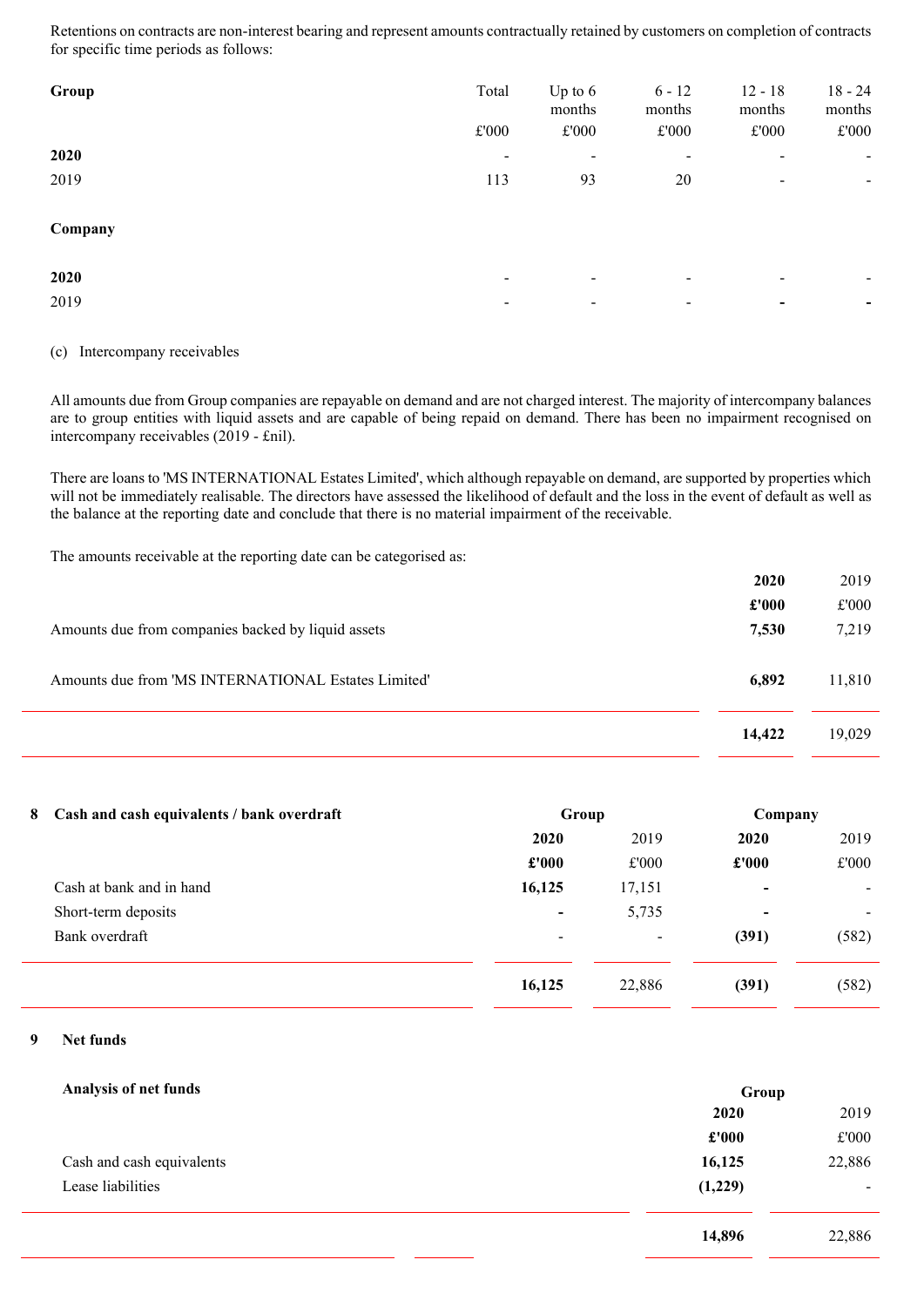Retentions on contracts are non-interest bearing and represent amounts contractually retained by customers on completion of contracts for specific time periods as follows:

| Group   | Total<br>$\pounds 000$   | Up to $6$<br>months<br>£'000 | $6 - 12$<br>months<br>$\pounds 000$ | $12 - 18$<br>months<br>£'000 | $18 - 24$<br>months<br>$\pounds 000$ |
|---------|--------------------------|------------------------------|-------------------------------------|------------------------------|--------------------------------------|
| 2020    | $\overline{\phantom{a}}$ | -                            | -                                   | $\overline{\phantom{a}}$     | $\overline{\phantom{a}}$             |
| 2019    | 113                      | 93                           | 20                                  | $\overline{\phantom{a}}$     | $\overline{\phantom{a}}$             |
| Company |                          |                              |                                     |                              |                                      |
| 2020    | $\blacksquare$           | $\overline{\phantom{a}}$     | -                                   | $\overline{\phantom{a}}$     |                                      |
| 2019    | ٠.                       | -                            | $\overline{\phantom{a}}$            | $\blacksquare$               | $\blacksquare$                       |

### (c) Intercompany receivables

All amounts due from Group companies are repayable on demand and are not charged interest. The majority of intercompany balances are to group entities with liquid assets and are capable of being repaid on demand. There has been no impairment recognised on intercompany receivables (2019 - £nil).

There are loans to 'MS INTERNATIONAL Estates Limited', which although repayable on demand, are supported by properties which will not be immediately realisable. The directors have assessed the likelihood of default and the loss in the event of default as well as the balance at the reporting date and conclude that there is no material impairment of the receivable.

The amounts receivable at the reporting date can be categorised as:

|                                                     | 2020   | 2019   |
|-----------------------------------------------------|--------|--------|
|                                                     | £'000  | £'000  |
| Amounts due from companies backed by liquid assets  | 7,530  | 7,219  |
| Amounts due from 'MS INTERNATIONAL Estates Limited' | 6,892  | 11,810 |
|                                                     | 14,422 | 19,029 |

| 8 Cash and cash equivalents / bank overdraft |                          | Group                    |               | Company |  |
|----------------------------------------------|--------------------------|--------------------------|---------------|---------|--|
|                                              | 2020                     | 2019                     | 2020          | 2019    |  |
|                                              | £'000                    | £'000                    | $\pounds 000$ | £'000   |  |
| Cash at bank and in hand                     | 16,125                   | 17,151                   | ۰             |         |  |
| Short-term deposits                          | $\blacksquare$           | 5,735                    | ۰             |         |  |
| Bank overdraft                               | $\overline{\phantom{a}}$ | $\overline{\phantom{a}}$ | (391)         | (582)   |  |
|                                              | 16,125                   | 22,886                   | (391)         | (582)   |  |
|                                              |                          |                          |               |         |  |

## 9 Net funds

| Analysis of net funds     | Group   |                |
|---------------------------|---------|----------------|
|                           | 2020    | 2019           |
|                           | £'000   | £'000          |
| Cash and cash equivalents | 16,125  | 22,886         |
| Lease liabilities         | (1,229) | $\blacksquare$ |
|                           | 14,896  | 22,886         |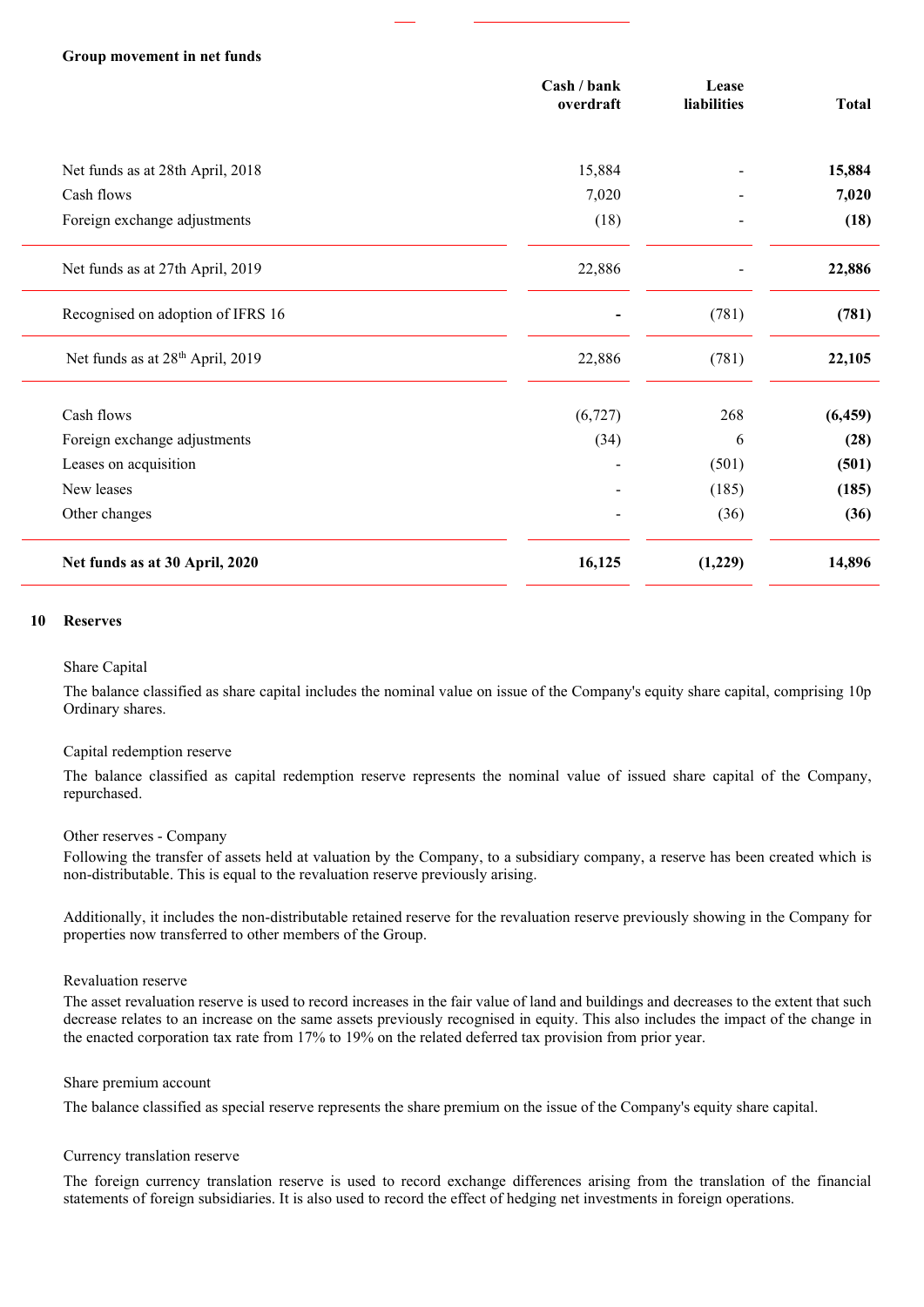### Group movement in net funds

|                                              | Cash / bank<br>overdraft | Lease<br>liabilities     | <b>Total</b> |
|----------------------------------------------|--------------------------|--------------------------|--------------|
|                                              |                          |                          |              |
| Net funds as at 28th April, 2018             | 15,884                   |                          | 15,884       |
| Cash flows                                   | 7,020                    |                          | 7,020        |
| Foreign exchange adjustments                 | (18)                     | $\overline{\phantom{0}}$ | (18)         |
| Net funds as at 27th April, 2019             | 22,886                   |                          | 22,886       |
| Recognised on adoption of IFRS 16            |                          | (781)                    | (781)        |
| Net funds as at 28 <sup>th</sup> April, 2019 | 22,886                   | (781)                    | 22,105       |
| Cash flows                                   | (6, 727)                 | 268                      | (6, 459)     |
| Foreign exchange adjustments                 | (34)                     | 6                        | (28)         |
| Leases on acquisition                        |                          | (501)                    | (501)        |
| New leases                                   |                          | (185)                    | (185)        |
| Other changes                                |                          | (36)                     | (36)         |
| Net funds as at 30 April, 2020               | 16,125                   | (1,229)                  | 14,896       |

### 10 Reserves

### Share Capital

The balance classified as share capital includes the nominal value on issue of the Company's equity share capital, comprising 10p Ordinary shares.

### Capital redemption reserve

The balance classified as capital redemption reserve represents the nominal value of issued share capital of the Company, repurchased.

### Other reserves - Company

Following the transfer of assets held at valuation by the Company, to a subsidiary company, a reserve has been created which is non-distributable. This is equal to the revaluation reserve previously arising.

Additionally, it includes the non-distributable retained reserve for the revaluation reserve previously showing in the Company for properties now transferred to other members of the Group.

### Revaluation reserve

The asset revaluation reserve is used to record increases in the fair value of land and buildings and decreases to the extent that such decrease relates to an increase on the same assets previously recognised in equity. This also includes the impact of the change in the enacted corporation tax rate from 17% to 19% on the related deferred tax provision from prior year.

### Share premium account

The balance classified as special reserve represents the share premium on the issue of the Company's equity share capital.

### Currency translation reserve

The foreign currency translation reserve is used to record exchange differences arising from the translation of the financial statements of foreign subsidiaries. It is also used to record the effect of hedging net investments in foreign operations.